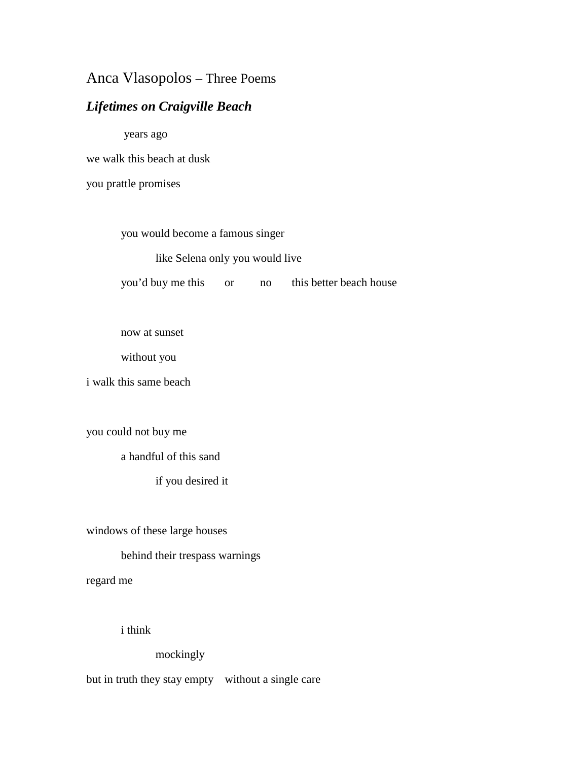## Anca Vlasopolos – Three Poems

## *Lifetimes on Craigville Beach*

years ago

we walk this beach at dusk

you prattle promises

you would become a famous singer

like Selena only you would live

you'd buy me this or no this better beach house

now at sunset

without you

i walk this same beach

you could not buy me

a handful of this sand

if you desired it

windows of these large houses

behind their trespass warnings

regard me

i think

mockingly

but in truth they stay empty without a single care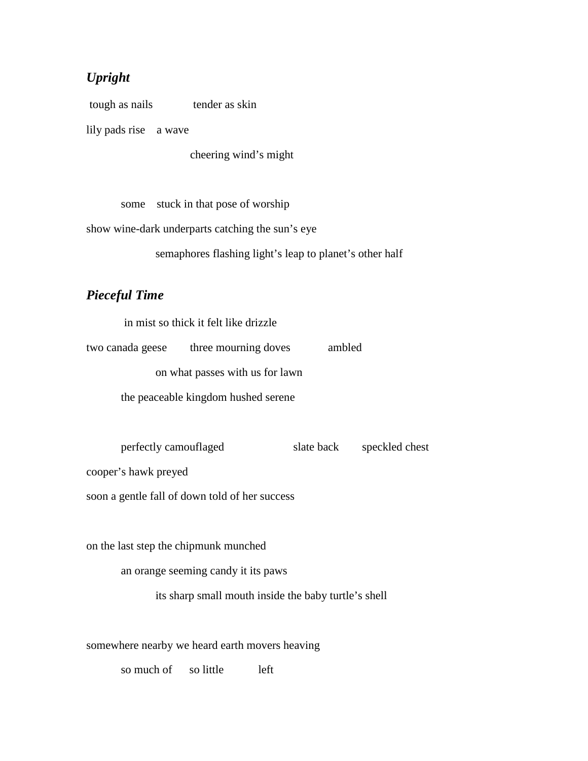## *Upright*

tough as nails tender as skin

lily pads rise a wave

cheering wind's might

some stuck in that pose of worship

show wine-dark underparts catching the sun's eye

semaphores flashing light's leap to planet's other half

## *Pieceful Time*

in mist so thick it felt like drizzle two canada geese three mourning doves ambled on what passes with us for lawn the peaceable kingdom hushed serene

perfectly camouflaged slate back speckled chest

cooper's hawk preyed

soon a gentle fall of down told of her success

on the last step the chipmunk munched

an orange seeming candy it its paws

its sharp small mouth inside the baby turtle's shell

somewhere nearby we heard earth movers heaving

so much of so little left